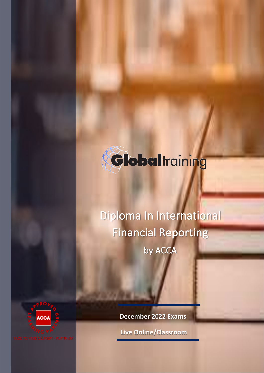

# Diploma In International Financial Reporting by ACCA



**December 2022 Exams**

**Live Online/Classroom**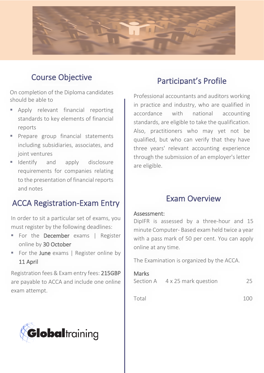

## Course Objective

On completion of the Diploma candidates should be able to

- **E** Apply relevant financial reporting standards to key elements of financial reports
- **•** Prepare group financial statements including subsidiaries, associates, and joint ventures
- **E** Identify and apply disclosure requirements for companies relating to the presentation of financial reports and notes

### ACCA Registration-Exam Entry

In order to sit a particular set of exams, you must register by the following deadlines:

- **For the December exams | Register** online by 30 October
- For the June exams | Register online by 11 April

Registration fees & Exam entry fees: 215GBP are payable to ACCA and include one online exam attempt.



Professional accountants and auditors working in practice and industry, who are qualified in accordance with national accounting standards, are eligible to take the qualification. Also, practitioners who may yet not be qualified, but who can verify that they have three years' relevant accounting experience through the submission of an employer's letter are eligible.

### Exam Overview

#### Assessment:

DipIFR is assessed by a three-hour and 15 minute Computer- Based exam held twice a year with a pass mark of 50 per cent. You can apply online at any time.

The Examination is organized by the ACCA.

#### **Marks**

| Section A 4 x 25 mark question | 25 |
|--------------------------------|----|
|                                |    |

Total 100

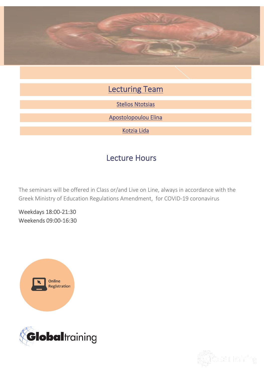

Kotzia Lida

## Lecture Hours

The seminars will be offered in Class or/and Live on Line, always in accordance with the Greek Ministry of Education Regulations Amendment, for COVID-19 coronavirus

Weekdays 18:00-21:30 Weekends 09:00-16:30





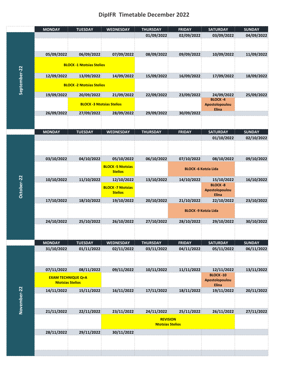### **DipIFR Timetable December 2022**

|              | <b>MONDAY</b>                                        | <b>TUESDAY</b> | <b>WEDNESDAY</b>                           | <b>THURSDAY</b> | <b>FRIDAY</b>               | <b>SATURDAY</b>                                    | <b>SUNDAY</b> |
|--------------|------------------------------------------------------|----------------|--------------------------------------------|-----------------|-----------------------------|----------------------------------------------------|---------------|
| September-22 |                                                      |                |                                            | 01/09/2022      | 02/09/2022                  | 03/09/2022                                         | 04/09/2022    |
|              |                                                      |                |                                            |                 |                             |                                                    |               |
|              |                                                      |                |                                            |                 |                             |                                                    |               |
|              | 05/09/2022                                           | 06/09/2022     | 07/09/2022                                 | 08/09/2022      | 09/09/2022                  | 10/09/2022                                         | 11/09/2022    |
|              | <b>BLOCK -1 Ntotsias Stelios</b>                     |                |                                            |                 |                             |                                                    |               |
|              | 12/09/2022                                           | 13/09/2022     | 14/09/2022                                 | 15/09/2022      | 16/09/2022                  | 17/09/2022                                         | 18/09/2022    |
|              | <b>BLOCK -2 Ntotsias Stelios</b>                     |                |                                            |                 |                             |                                                    |               |
|              | 19/09/2022                                           | 20/09/2022     | 21/09/2022                                 | 22/09/2022      | 23/09/2022                  | 24/09/2022                                         | 25/09/2022    |
|              | <b>BLOCK -3 Ntotsias Stelios</b>                     |                |                                            |                 |                             | <b>BLOCK-4</b><br>Apostolopoulou<br><b>Elina</b>   |               |
|              | 26/09/2022                                           | 27/09/2022     | 28/09/2022                                 | 29/09/2022      | 30/09/2022                  |                                                    |               |
|              |                                                      |                |                                            |                 |                             |                                                    |               |
|              | <b>MONDAY</b>                                        | <b>TUESDAY</b> | <b>WEDNESDAY</b>                           | <b>THURSDAY</b> | <b>FRIDAY</b>               | <b>SATURDAY</b>                                    | <b>SUNDAY</b> |
|              |                                                      |                |                                            |                 |                             | 01/10/2022                                         | 02/10/2022    |
|              |                                                      |                |                                            |                 |                             |                                                    |               |
|              | 03/10/2022                                           | 04/10/2022     | 05/10/2022                                 | 06/10/2022      | 07/10/2022                  | 08/10/2022                                         | 09/10/2022    |
|              |                                                      |                | <b>BLOCK -5 Ntotsias</b><br><b>Stelios</b> |                 |                             | <b>BLOCK -6 Kotzia Lida</b>                        |               |
|              | 10/10/2022                                           | 11/10/2022     | 12/10/2022                                 | 13/10/2022      | 14/10/2022                  | 15/10/2022                                         | 16/10/2022    |
|              |                                                      |                | <b>BLOCK -7 Ntotsias</b>                   |                 |                             | <b>BLOCK-8</b><br>Apostolopoulou                   |               |
| October-22   |                                                      |                | <b>Stelios</b>                             |                 |                             | <b>Elina</b>                                       |               |
|              | 17/10/2022                                           | 18/10/2022     | 19/10/2022                                 | 20/10/2022      | 21/10/2022                  | 22/10/2022                                         | 23/10/2022    |
|              |                                                      |                |                                            |                 | <b>BLOCK -9 Kotzia Lida</b> |                                                    |               |
|              | 24/10/2022                                           | 25/10/2022     | 26/10/2022                                 | 27/10/2022      | 28/10/2022                  | 29/10/2022                                         | 30/10/2022    |
|              |                                                      |                |                                            |                 |                             |                                                    |               |
|              | <b>MONDAY</b>                                        | <b>TUESDAY</b> | <b>WEDNESDAY</b>                           | <b>THURSDAY</b> | <b>FRIDAY</b>               | <b>SATURDAY</b>                                    | <b>SUNDAY</b> |
| November-22  | 31/10/2022                                           | 01/11/2022     | 02/11/2022                                 | 03/11/2022      | 04/11/2022                  | 05/11/2022                                         | 06/11/2022    |
|              |                                                      |                |                                            |                 |                             |                                                    |               |
|              | 07/11/2022                                           | 08/11/2022     | 09/11/2022                                 | 10/11/2022      | 11/11/2022                  | 12/11/2022                                         | 13/11/2022    |
|              | <b>EXAM TECHNIQUE Q+A</b><br><b>Ntotsias Stelios</b> |                |                                            |                 |                             | <b>BLOCK -10</b><br>Apostolopoulou<br><b>Elina</b> |               |
|              | 14/11/2022                                           | 15/11/2022     | 16/11/2022                                 | 17/11/2022      | 18/11/2022                  | 19/11/2022                                         | 20/11/2022    |
|              |                                                      |                |                                            |                 |                             |                                                    |               |
|              | 21/11/2022                                           | 22/11/2022     | 23/11/2022                                 | 24/11/2022      | 25/11/2022                  | 26/11/2022                                         | 27/11/2022    |
|              |                                                      |                | <b>REVISION</b><br><b>Ntotsias Stelios</b> |                 |                             |                                                    |               |
|              | 28/11/2022                                           | 29/11/2022     | 30/11/2022                                 |                 |                             |                                                    |               |
|              |                                                      |                |                                            |                 |                             |                                                    |               |
|              |                                                      |                |                                            |                 |                             |                                                    |               |